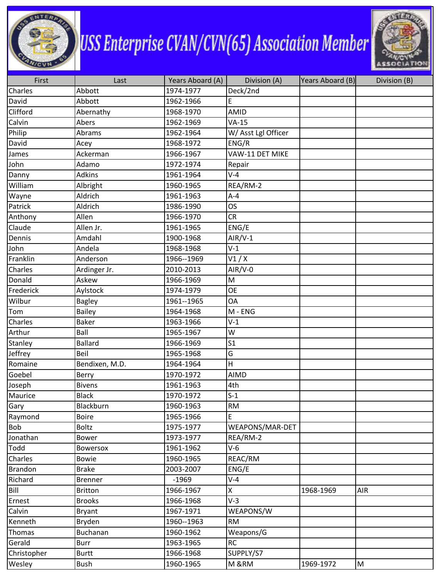

## **USS Enterprise CVAN/CVN(65) Association Member**



| First       | Last            | Years Aboard (A) | Division (A)        | Years Aboard (B) | Division (B) |
|-------------|-----------------|------------------|---------------------|------------------|--------------|
| Charles     | Abbott          | 1974-1977        | Deck/2nd            |                  |              |
| David       | Abbott          | 1962-1966        | E                   |                  |              |
| Clifford    | Abernathy       | 1968-1970        | AMID                |                  |              |
| Calvin      | Abers           | 1962-1969        | $VA-15$             |                  |              |
| Philip      | Abrams          | 1962-1964        | W/ Asst Lgl Officer |                  |              |
| David       | Acey            | 1968-1972        | ENG/R               |                  |              |
| James       | Ackerman        | 1966-1967        | VAW-11 DET MIKE     |                  |              |
| John        | Adamo           | 1972-1974        | Repair              |                  |              |
| Danny       | <b>Adkins</b>   | 1961-1964        | $V-4$               |                  |              |
| William     | Albright        | 1960-1965        | REA/RM-2            |                  |              |
| Wayne       | Aldrich         | 1961-1963        | $A - 4$             |                  |              |
| Patrick     | Aldrich         | 1986-1990        | <b>OS</b>           |                  |              |
| Anthony     | Allen           | 1966-1970        | <b>CR</b>           |                  |              |
| Claude      | Allen Jr.       | 1961-1965        | ENG/E               |                  |              |
| Dennis      | Amdahl          | 1900-1968        | $AlR/V-1$           |                  |              |
| John        | Andela          | 1968-1968        | $V-1$               |                  |              |
| Franklin    | Anderson        | 1966--1969       | V1/X                |                  |              |
| Charles     | Ardinger Jr.    | 2010-2013        | $AIR/V-0$           |                  |              |
| Donald      | Askew           | 1966-1969        | M                   |                  |              |
| Frederick   | Aylstock        | 1974-1979        | <b>OE</b>           |                  |              |
| Wilbur      | <b>Bagley</b>   | 1961--1965       | OA                  |                  |              |
| Tom         | <b>Bailey</b>   | 1964-1968        | M - ENG             |                  |              |
| Charles     | <b>Baker</b>    | 1963-1966        | $V-1$               |                  |              |
| Arthur      | Ball            | 1965-1967        | W                   |                  |              |
| Stanley     | <b>Ballard</b>  | 1966-1969        | S <sub>1</sub>      |                  |              |
| Jeffrey     | Beil            | 1965-1968        | G                   |                  |              |
| Romaine     | Bendixen, M.D.  | 1964-1964        | Н                   |                  |              |
| Goebel      | Berry           | 1970-1972        | <b>AIMD</b>         |                  |              |
| Joseph      | <b>Bivens</b>   | 1961-1963        | 4th                 |                  |              |
| Maurice     | <b>Black</b>    | 1970-1972        | $S-1$               |                  |              |
| Gary        | Blackburn       | 1960-1963        | <b>RM</b>           |                  |              |
| Raymond     | <b>Boire</b>    | 1965-1966        | E                   |                  |              |
| <b>Bob</b>  | <b>Boltz</b>    | 1975-1977        | WEAPONS/MAR-DET     |                  |              |
| Jonathan    | <b>Bower</b>    | 1973-1977        | REA/RM-2            |                  |              |
| Todd        | <b>Bowersox</b> | 1961-1962        | $V-6$               |                  |              |
| Charles     | <b>Bowie</b>    | 1960-1965        | REAC/RM             |                  |              |
| Brandon     | <b>Brake</b>    | 2003-2007        | ENG/E               |                  |              |
| Richard     | <b>Brenner</b>  | $-1969$          | $V-4$               |                  |              |
| Bill        | <b>Britton</b>  | 1966-1967        | X                   | 1968-1969        | AIR          |
| Ernest      | <b>Brooks</b>   | 1966-1968        | $V-3$               |                  |              |
| Calvin      | <b>Bryant</b>   | 1967-1971        | WEAPONS/W           |                  |              |
| Kenneth     | Bryden          | 1960--1963       | <b>RM</b>           |                  |              |
| Thomas      | Buchanan        | 1960-1962        | Weapons/G           |                  |              |
| Gerald      | <b>Burr</b>     | 1963-1965        | <b>RC</b>           |                  |              |
| Christopher | <b>Burtt</b>    | 1966-1968        | SUPPLY/S7           |                  |              |
| Wesley      | Bush            | 1960-1965        | M &RM               | 1969-1972        | M            |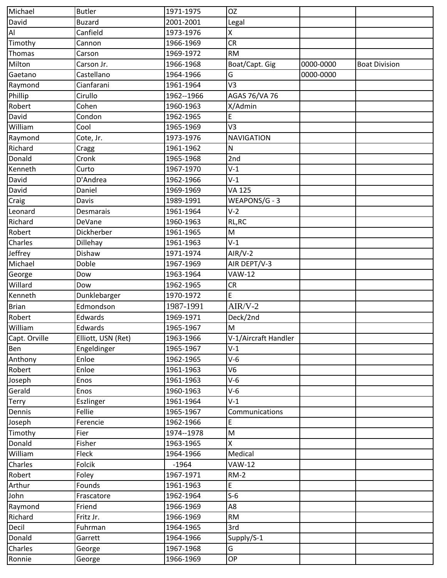| Michael        | <b>Butler</b>      | 1971-1975  | <b>OZ</b>            |           |                      |
|----------------|--------------------|------------|----------------------|-----------|----------------------|
| David          | <b>Buzard</b>      | 2001-2001  | Legal                |           |                      |
| $\overline{A}$ | Canfield           | 1973-1976  | Χ                    |           |                      |
| Timothy        | Cannon             | 1966-1969  | <b>CR</b>            |           |                      |
| Thomas         | Carson             | 1969-1972  | <b>RM</b>            |           |                      |
| Milton         | Carson Jr.         | 1966-1968  | Boat/Capt. Gig       | 0000-0000 | <b>Boat Division</b> |
| Gaetano        | Castellano         | 1964-1966  | G                    | 0000-0000 |                      |
| Raymond        | Cianfarani         | 1961-1964  | V3                   |           |                      |
| Phillip        | Cirullo            | 1962--1966 | AGAS 76/VA 76        |           |                      |
| Robert         | Cohen              | 1960-1963  | X/Admin              |           |                      |
| David          | Condon             | 1962-1965  | E                    |           |                      |
| William        | Cool               | 1965-1969  | V3                   |           |                      |
| Raymond        | Cote, Jr.          | 1973-1976  | <b>NAVIGATION</b>    |           |                      |
| Richard        | Cragg              | 1961-1962  | N                    |           |                      |
| Donald         | Cronk              | 1965-1968  | 2nd                  |           |                      |
| Kenneth        | Curto              | 1967-1970  | $V-1$                |           |                      |
| David          | D'Andrea           | 1962-1966  | $V-1$                |           |                      |
| David          | Daniel             | 1969-1969  | <b>VA 125</b>        |           |                      |
| Craig          | Davis              | 1989-1991  | WEAPONS/G - 3        |           |                      |
| Leonard        | Desmarais          | 1961-1964  | $V-2$                |           |                      |
| Richard        | DeVane             | 1960-1963  | RL, RC               |           |                      |
| Robert         | Dickherber         | 1961-1965  | M                    |           |                      |
| Charles        | Dillehay           | 1961-1963  | $V-1$                |           |                      |
| Jeffrey        | Dishaw             | 1971-1974  | $AIR/V-2$            |           |                      |
| Michael        | Doble              | 1967-1969  | AIR DEPT/V-3         |           |                      |
| George         | Dow                | 1963-1964  | <b>VAW-12</b>        |           |                      |
| Willard        | Dow                | 1962-1965  | CR                   |           |                      |
| Kenneth        | Dunklebarger       | 1970-1972  | E                    |           |                      |
| <b>Brian</b>   | Edmondson          | 1987-1991  | $AIR/V-2$            |           |                      |
| Robert         | Edwards            | 1969-1971  | Deck/2nd             |           |                      |
| William        | Edwards            | 1965-1967  | M                    |           |                      |
| Capt. Orville  | Elliott, USN (Ret) | 1963-1966  | V-1/Aircraft Handler |           |                      |
| Ben            | Engeldinger        | 1965-1967  | $V-1$                |           |                      |
| Anthony        | Enloe              | 1962-1965  | $V-6$                |           |                      |
| Robert         | Enloe              | 1961-1963  | V6                   |           |                      |
| Joseph         | Enos               | 1961-1963  | $V-6$                |           |                      |
| Gerald         | Enos               | 1960-1963  | $V-6$                |           |                      |
| <b>Terry</b>   | Eszlinger          | 1961-1964  | $V-1$                |           |                      |
| Dennis         | Fellie             | 1965-1967  | Communications       |           |                      |
| Joseph         | Ferencie           | 1962-1966  | E                    |           |                      |
| Timothy        | Fier               | 1974--1978 | M                    |           |                      |
| Donald         | Fisher             | 1963-1965  | X                    |           |                      |
| William        | Fleck              | 1964-1966  | Medical              |           |                      |
| Charles        | Folcik             | $-1964$    | <b>VAW-12</b>        |           |                      |
| Robert         | Foley              | 1967-1971  | $RM-2$               |           |                      |
| Arthur         | Founds             | 1961-1963  | E                    |           |                      |
| John           | Frascatore         | 1962-1964  | $S-6$                |           |                      |
| Raymond        | Friend             | 1966-1969  | A8                   |           |                      |
| Richard        | Fritz Jr.          | 1966-1969  | <b>RM</b>            |           |                      |
| Decil          | Fuhrman            | 1964-1965  | 3rd                  |           |                      |
| Donald         | Garrett            | 1964-1966  | Supply/S-1           |           |                      |
| Charles        | George             | 1967-1968  | G                    |           |                      |
| Ronnie         | George             | 1966-1969  | ОP                   |           |                      |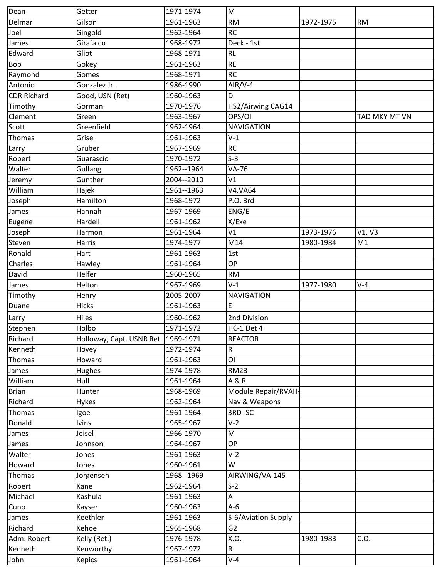| Dean               | Getter                              | 1971-1974  | M                   |           |               |
|--------------------|-------------------------------------|------------|---------------------|-----------|---------------|
| Delmar             | Gilson                              | 1961-1963  | <b>RM</b>           | 1972-1975 | <b>RM</b>     |
| Joel               | Gingold                             | 1962-1964  | <b>RC</b>           |           |               |
| James              | Girafalco                           | 1968-1972  | Deck - 1st          |           |               |
| Edward             | Gliot                               | 1968-1971  | <b>RL</b>           |           |               |
| <b>Bob</b>         | Gokey                               | 1961-1963  | <b>RE</b>           |           |               |
| Raymond            | Gomes                               | 1968-1971  | <b>RC</b>           |           |               |
| Antonio            | Gonzalez Jr.                        | 1986-1990  | $AlR/V-4$           |           |               |
| <b>CDR Richard</b> | Good, USN (Ret)                     | 1960-1963  | D                   |           |               |
| Timothy            | Gorman                              | 1970-1976  | HS2/Airwing CAG14   |           |               |
| Clement            | Green                               | 1963-1967  | OPS/OI              |           | TAD MKY MT VN |
| Scott              | Greenfield                          | 1962-1964  | <b>NAVIGATION</b>   |           |               |
| Thomas             | Grise                               | 1961-1963  | $V-1$               |           |               |
| Larry              | Gruber                              | 1967-1969  | <b>RC</b>           |           |               |
| Robert             | Guarascio                           | 1970-1972  | $S-3$               |           |               |
| Walter             | Gullang                             | 1962--1964 | VA-76               |           |               |
| Jeremy             | Gunther                             | 2004--2010 | V1                  |           |               |
| William            | Hajek                               | 1961--1963 | V4, VA64            |           |               |
| Joseph             | Hamilton                            | 1968-1972  | P.O. 3rd            |           |               |
| James              | Hannah                              | 1967-1969  | ENG/E               |           |               |
| Eugene             | Hardell                             | 1961-1962  | X/Exe               |           |               |
| Joseph             | Harmon                              | 1961-1964  | V1                  | 1973-1976 | V1, V3        |
| Steven             | Harris                              | 1974-1977  | M14                 | 1980-1984 | M1            |
| Ronald             | Hart                                | 1961-1963  | 1st                 |           |               |
| Charles            | Hawley                              | 1961-1964  | <b>OP</b>           |           |               |
| David              | Helfer                              | 1960-1965  | <b>RM</b>           |           |               |
| James              | Helton                              | 1967-1969  | $V-1$               | 1977-1980 | $V-4$         |
| Timothy            | Henry                               | 2005-2007  | <b>NAVIGATION</b>   |           |               |
| Duane              | Hicks                               | 1961-1963  | E                   |           |               |
| Larry              | Hiles                               | 1960-1962  | 2nd Division        |           |               |
| Stephen            | Holbo                               | 1971-1972  | HC-1 Det 4          |           |               |
| Richard            | Holloway, Capt. USNR Ret. 1969-1971 |            | <b>REACTOR</b>      |           |               |
| Kenneth            | Hovey                               | 1972-1974  | R                   |           |               |
| Thomas             | Howard                              | 1961-1963  | ΟI                  |           |               |
| James              | Hughes                              | 1974-1978  | <b>RM23</b>         |           |               |
| William            | Hull                                | 1961-1964  | A & R               |           |               |
| <b>Brian</b>       | Hunter                              | 1968-1969  | Module Repair/RVAH- |           |               |
| Richard            | <b>Hykes</b>                        | 1962-1964  | Nav & Weapons       |           |               |
| Thomas             | Igoe                                | 1961-1964  | 3RD-SC              |           |               |
| Donald             | <b>Ivins</b>                        | 1965-1967  | $V-2$               |           |               |
| James              | Jeisel                              | 1966-1970  | M                   |           |               |
| James              | Johnson                             | 1964-1967  | <b>OP</b>           |           |               |
| Walter             | Jones                               | 1961-1963  | $V-2$               |           |               |
| Howard             | Jones                               | 1960-1961  | W                   |           |               |
| Thomas             | Jorgensen                           | 1968--1969 | AIRWING/VA-145      |           |               |
| Robert             | Kane                                | 1962-1964  | $S-2$               |           |               |
| Michael            | Kashula                             | 1961-1963  | A                   |           |               |
| Cuno               | Kayser                              | 1960-1963  | $A-6$               |           |               |
| James              | Keethler                            | 1961-1963  | S-6/Aviation Supply |           |               |
| Richard            | Kehoe                               | 1965-1968  | G <sub>2</sub>      |           |               |
| Adm. Robert        | Kelly (Ret.)                        | 1976-1978  | X.O.                | 1980-1983 | C.O.          |
| Kenneth            | Kenworthy                           | 1967-1972  | $\mathsf{R}$        |           |               |
| John               | Kepics                              | 1961-1964  | $V-4$               |           |               |
|                    |                                     |            |                     |           |               |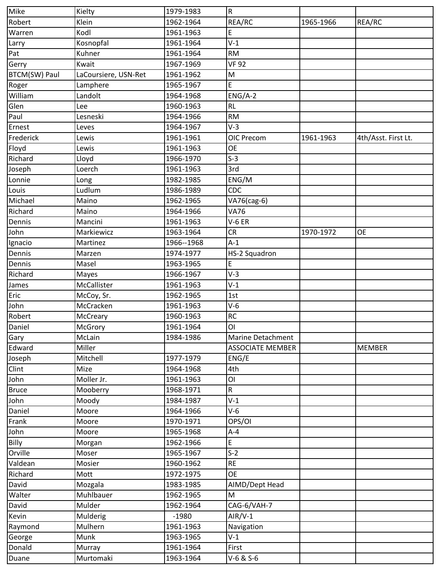| Mike                 | Kielty               | 1979-1983  | $\overline{R}$          |           |                     |
|----------------------|----------------------|------------|-------------------------|-----------|---------------------|
| Robert               | Klein                | 1962-1964  | REA/RC                  | 1965-1966 | REA/RC              |
| Warren               | Kodl                 | 1961-1963  | E                       |           |                     |
| Larry                | Kosnopfal            | 1961-1964  | $V-1$                   |           |                     |
| Pat                  | Kuhner               | 1961-1964  | <b>RM</b>               |           |                     |
| Gerry                | Kwait                | 1967-1969  | <b>VF 92</b>            |           |                     |
| <b>BTCM(SW) Paul</b> | LaCoursiere, USN-Ret | 1961-1962  | M                       |           |                     |
| Roger                | Lamphere             | 1965-1967  | E                       |           |                     |
| William              | Landolt              | 1964-1968  | $ENG/A-2$               |           |                     |
| Glen                 | Lee                  | 1960-1963  | <b>RL</b>               |           |                     |
| Paul                 | Lesneski             | 1964-1966  | <b>RM</b>               |           |                     |
| Ernest               | Leves                | 1964-1967  | $V-3$                   |           |                     |
| Frederick            | Lewis                | 1961-1961  | OIC Precom              | 1961-1963 | 4th/Asst. First Lt. |
| Floyd                | Lewis                | 1961-1963  | <b>OE</b>               |           |                     |
| Richard              | Lloyd                | 1966-1970  | $S-3$                   |           |                     |
| Joseph               | Loerch               | 1961-1963  | 3rd                     |           |                     |
| Lonnie               | Long                 | 1982-1985  | ENG/M                   |           |                     |
| Louis                | Ludlum               | 1986-1989  | CDC                     |           |                     |
| Michael              | Maino                | 1962-1965  | VA76(cag-6)             |           |                     |
| Richard              | Maino                | 1964-1966  | <b>VA76</b>             |           |                     |
| Dennis               | Mancini              | 1961-1963  | $V-6ER$                 |           |                     |
| John                 | Markiewicz           | 1963-1964  | CR                      | 1970-1972 | <b>OE</b>           |
| Ignacio              | Martinez             | 1966--1968 | $A-1$                   |           |                     |
| Dennis               | Marzen               | 1974-1977  | HS-2 Squadron           |           |                     |
| Dennis               | Masel                | 1963-1965  | E                       |           |                     |
| Richard              | Mayes                | 1966-1967  | $V-3$                   |           |                     |
| James                | McCallister          | 1961-1963  | $V-1$                   |           |                     |
| Eric                 | McCoy, Sr.           | 1962-1965  | 1st                     |           |                     |
| John                 | McCracken            | 1961-1963  | $V-6$                   |           |                     |
| Robert               | McCreary             | 1960-1963  | <b>RC</b>               |           |                     |
| Daniel               | McGrory              | 1961-1964  | ΟI                      |           |                     |
| Gary                 | McLain               | 1984-1986  | Marine Detachment       |           |                     |
| Edward               | Miller               |            | <b>ASSOCIATE MEMBER</b> |           | <b>MEMBER</b>       |
| Joseph               | Mitchell             | 1977-1979  | ENG/E                   |           |                     |
| Clint                | Mize                 | 1964-1968  | 4th                     |           |                     |
| John                 | Moller Jr.           | 1961-1963  | ΟI                      |           |                     |
| <b>Bruce</b>         | Mooberry             | 1968-1971  | R                       |           |                     |
| John                 | Moody                | 1984-1987  | $V-1$                   |           |                     |
| Daniel               | Moore                | 1964-1966  | $V-6$                   |           |                     |
| Frank                | Moore                | 1970-1971  | OPS/OI                  |           |                     |
| John                 | Moore                | 1965-1968  | $A - 4$                 |           |                     |
| Billy                | Morgan               | 1962-1966  | E                       |           |                     |
| Orville              | Moser                | 1965-1967  | $S-2$                   |           |                     |
| Valdean              | Mosier               | 1960-1962  | <b>RE</b>               |           |                     |
| Richard              | Mott                 | 1972-1975  | <b>OE</b>               |           |                     |
| David                | Mozgala              | 1983-1985  | AIMD/Dept Head          |           |                     |
| Walter               | Muhlbauer            | 1962-1965  | M                       |           |                     |
| David                | Mulder               | 1962-1964  | CAG-6/VAH-7             |           |                     |
| Kevin                | Mulderig             | $-1980$    | $AlR/V-1$               |           |                     |
| Raymond              | Mulhern              | 1961-1963  | Navigation              |           |                     |
| George               | Munk                 | 1963-1965  | $V-1$                   |           |                     |
| Donald               | Murray               | 1961-1964  | First                   |           |                     |
| Duane                | Murtomaki            | 1963-1964  | V-6 & S-6               |           |                     |
|                      |                      |            |                         |           |                     |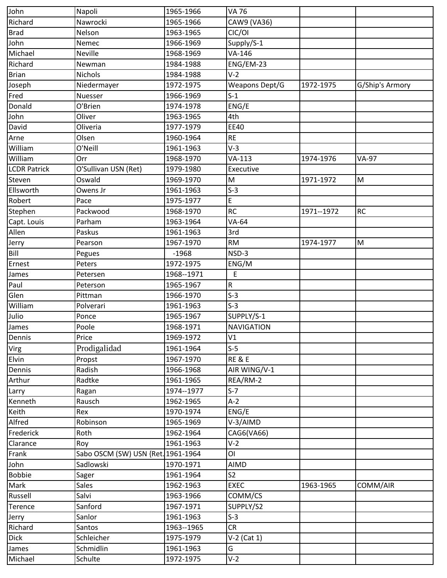| John                | Napoli                             | 1965-1966  | VA 76                 |              |                 |
|---------------------|------------------------------------|------------|-----------------------|--------------|-----------------|
| Richard             | Nawrocki                           | 1965-1966  | CAW9 (VA36)           |              |                 |
| <b>Brad</b>         | Nelson                             | 1963-1965  | CIC/OI                |              |                 |
| John                | Nemec                              | 1966-1969  | Supply/S-1            |              |                 |
| Michael             | Neville                            | 1968-1969  | VA-146                |              |                 |
| Richard             | Newman                             | 1984-1988  | ENG/EM-23             |              |                 |
| <b>Brian</b>        | Nichols                            | 1984-1988  | $V-2$                 |              |                 |
| Joseph              | Niedermayer                        | 1972-1975  | <b>Weapons Dept/G</b> | 1972-1975    | G/Ship's Armory |
| Fred                | Nuesser                            | 1966-1969  | $S-1$                 |              |                 |
| Donald              | O'Brien                            | 1974-1978  | ENG/E                 |              |                 |
| John                | Oliver                             | 1963-1965  | 4th                   |              |                 |
| David               | Oliveria                           | 1977-1979  | <b>EE40</b>           |              |                 |
| Arne                | Olsen                              | 1960-1964  | <b>RE</b>             |              |                 |
| William             | O'Neill                            | 1961-1963  | $V-3$                 |              |                 |
| William             | Orr                                | 1968-1970  | $VA-113$              | 1974-1976    | <b>VA-97</b>    |
| <b>LCDR Patrick</b> | O'Sullivan USN (Ret)               | 1979-1980  | Executive             |              |                 |
| Steven              | Oswald                             | 1969-1970  | M                     | 1971-1972    | M               |
| Ellsworth           | Owens Jr                           | 1961-1963  | $S-3$                 |              |                 |
| Robert              | Pace                               | 1975-1977  | E                     |              |                 |
| Stephen             | Packwood                           | 1968-1970  | <b>RC</b>             | 1971 -- 1972 | <b>RC</b>       |
| Capt. Louis         | Parham                             | 1963-1964  | VA-64                 |              |                 |
| Allen               | Paskus                             | 1961-1963  | 3rd                   |              |                 |
| Jerry               | Pearson                            | 1967-1970  | <b>RM</b>             | 1974-1977    | M               |
| Bill                | Pegues                             | $-1968$    | NSD-3                 |              |                 |
| Ernest              | Peters                             | 1972-1975  | ENG/M                 |              |                 |
| James               | Petersen                           | 1968--1971 | E                     |              |                 |
| Paul                | Peterson                           | 1965-1967  | R                     |              |                 |
| Glen                | Pittman                            | 1966-1970  | $S-3$                 |              |                 |
| William             | Polverari                          | 1961-1963  | $S-3$                 |              |                 |
| Julio               | Ponce                              | 1965-1967  | SUPPLY/S-1            |              |                 |
| James               | Poole                              | 1968-1971  | <b>NAVIGATION</b>     |              |                 |
| Dennis              | Price                              | 1969-1972  | V1                    |              |                 |
| Virg                | Prodigalidad                       | 1961-1964  | $S-5$                 |              |                 |
| Elvin               | Propst                             | 1967-1970  | <b>RE &amp; E</b>     |              |                 |
| Dennis              | Radish                             | 1966-1968  | AIR WING/V-1          |              |                 |
| Arthur              | Radtke                             | 1961-1965  | REA/RM-2              |              |                 |
| Larry               | Ragan                              | 1974--1977 | $S-7$                 |              |                 |
| Kenneth             | Rausch                             | 1962-1965  | $A-2$                 |              |                 |
| Keith               | Rex                                | 1970-1974  | ENG/E                 |              |                 |
| Alfred              | Robinson                           | 1965-1969  | V-3/AIMD              |              |                 |
| Frederick           | Roth                               | 1962-1964  | CAG6(VA66)            |              |                 |
| Clarance            | Roy                                | 1961-1963  | $V-2$                 |              |                 |
| Frank               | Sabo OSCM (SW) USN {Ret. 1961-1964 |            | <b>OI</b>             |              |                 |
| John                | Sadlowski                          | 1970-1971  | AIMD                  |              |                 |
| <b>Bobbie</b>       | Sager                              | 1961-1964  | S <sub>2</sub>        |              |                 |
| Mark                | <b>Sales</b>                       | 1962-1963  | <b>EXEC</b>           | 1963-1965    | COMM/AIR        |
| Russell             | Salvi                              | 1963-1966  | COMM/CS               |              |                 |
| Terence             | Sanford                            | 1967-1971  | SUPPLY/S2             |              |                 |
| Jerry               | Sanlor                             | 1961-1963  | $S-3$                 |              |                 |
| Richard             | Santos                             | 1963--1965 | <b>CR</b>             |              |                 |
| <b>Dick</b>         | Schleicher                         | 1975-1979  | $V-2$ (Cat 1)         |              |                 |
| James               | Schmidlin                          | 1961-1963  | G                     |              |                 |
| Michael             | Schulte                            | 1972-1975  | $V-2$                 |              |                 |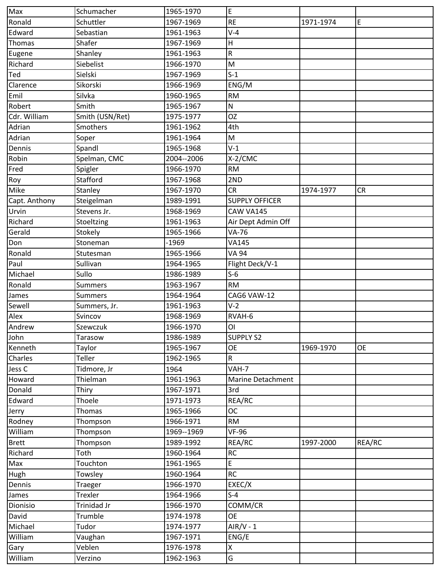| Max           | Schumacher      | 1965-1970  | E                     |           |             |
|---------------|-----------------|------------|-----------------------|-----------|-------------|
| Ronald        | Schuttler       | 1967-1969  | <b>RE</b>             | 1971-1974 | $\mathsf E$ |
| Edward        | Sebastian       | 1961-1963  | $V-4$                 |           |             |
| Thomas        | Shafer          | 1967-1969  | $\mathsf H$           |           |             |
| Eugene        | Shanley         | 1961-1963  | R                     |           |             |
| Richard       | Siebelist       | 1966-1970  | M                     |           |             |
| Ted           | Sielski         | 1967-1969  | $S-1$                 |           |             |
| Clarence      | Sikorski        | 1966-1969  | ENG/M                 |           |             |
| Emil          | Silvka          | 1960-1965  | <b>RM</b>             |           |             |
| Robert        | Smith           | 1965-1967  | N                     |           |             |
| Cdr. William  | Smith (USN/Ret) | 1975-1977  | <b>OZ</b>             |           |             |
| Adrian        | Smothers        | 1961-1962  | 4th                   |           |             |
| Adrian        | Soper           | 1961-1964  | M                     |           |             |
| Dennis        | Spandl          | 1965-1968  | $V-1$                 |           |             |
| Robin         | Spelman, CMC    | 2004--2006 | $X-2/CMC$             |           |             |
| Fred          | Spigler         | 1966-1970  | <b>RM</b>             |           |             |
| Roy           | Stafford        | 1967-1968  | 2ND                   |           |             |
| Mike          | Stanley         | 1967-1970  | <b>CR</b>             | 1974-1977 | <b>CR</b>   |
| Capt. Anthony | Steigelman      | 1989-1991  | <b>SUPPLY OFFICER</b> |           |             |
| Urvin         | Stevens Jr.     | 1968-1969  | CAW VA145             |           |             |
| Richard       | Stoeltzing      | 1961-1963  | Air Dept Admin Off    |           |             |
| Gerald        | Stokely         | 1965-1966  | <b>VA-76</b>          |           |             |
| Don           | Stoneman        | $-1969$    | <b>VA145</b>          |           |             |
| Ronald        | Stutesman       | 1965-1966  | <b>VA 94</b>          |           |             |
| Paul          | Sullivan        | 1964-1965  | Flight Deck/V-1       |           |             |
| Michael       | Sullo           | 1986-1989  | $S-6$                 |           |             |
| Ronald        | <b>Summers</b>  | 1963-1967  | <b>RM</b>             |           |             |
| James         | <b>Summers</b>  | 1964-1964  | CAG6 VAW-12           |           |             |
| Sewell        | Summers, Jr.    | 1961-1963  | $V-2$                 |           |             |
| Alex          | Svincov         | 1968-1969  | RVAH-6                |           |             |
| Andrew        | Szewczuk        | 1966-1970  | <b>OI</b>             |           |             |
| John          | Tarasow         | 1986-1989  | <b>SUPPLY S2</b>      |           |             |
| Kenneth       | Taylor          | 1965-1967  | <b>OE</b>             | 1969-1970 | <b>OE</b>   |
| Charles       | Teller          | 1962-1965  | ${\sf R}$             |           |             |
| Jess C        | Tidmore, Jr     | 1964       | VAH-7                 |           |             |
| Howard        | Thielman        | 1961-1963  | Marine Detachment     |           |             |
| Donald        | Thiry           | 1967-1971  | 3rd                   |           |             |
| Edward        | Thoele          | 1971-1973  | REA/RC                |           |             |
| Jerry         | Thomas          | 1965-1966  | <b>OC</b>             |           |             |
| Rodney        | Thompson        | 1966-1971  | <b>RM</b>             |           |             |
| William       | Thompson        | 1969--1969 | <b>VF-96</b>          |           |             |
| <b>Brett</b>  | Thompson        | 1989-1992  | REA/RC                | 1997-2000 | REA/RC      |
| Richard       | Toth            | 1960-1964  | <b>RC</b>             |           |             |
| Max           | Touchton        | 1961-1965  | E                     |           |             |
|               |                 | 1960-1964  | <b>RC</b>             |           |             |
| Hugh          | Towsley         |            |                       |           |             |
| Dennis        | Traeger         | 1966-1970  | EXEC/X<br>$S-4$       |           |             |
| James         | Trexler         | 1964-1966  |                       |           |             |
| Dionisio      | Trinidad Jr     | 1966-1970  | COMM/CR<br><b>OE</b>  |           |             |
| David         | Trumble         | 1974-1978  |                       |           |             |
| Michael       | Tudor           | 1974-1977  | $AIR/V - 1$           |           |             |
| William       | Vaughan         | 1967-1971  | ENG/E                 |           |             |
| Gary          | Veblen          | 1976-1978  | Χ                     |           |             |
| William       | Verzino         | 1962-1963  | G                     |           |             |